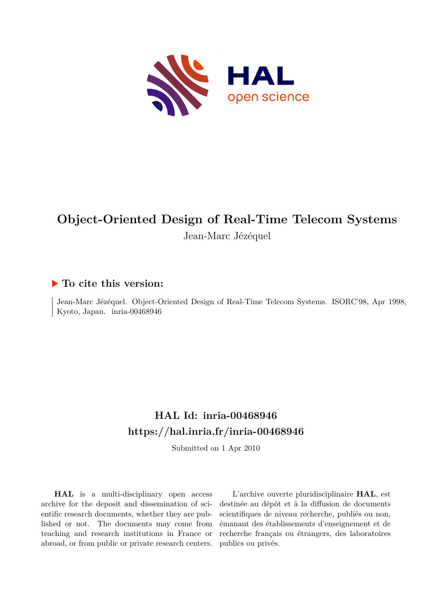

# **Object-Oriented Design of Real-Time Telecom Systems** Jean-Marc Jézéquel

# **To cite this version:**

Jean-Marc Jézéquel. Object-Oriented Design of Real-Time Telecom Systems. ISORC'98, Apr 1998, Kyoto, Japan. inria-00468946

# **HAL Id: inria-00468946 <https://hal.inria.fr/inria-00468946>**

Submitted on 1 Apr 2010

**HAL** is a multi-disciplinary open access archive for the deposit and dissemination of scientific research documents, whether they are published or not. The documents may come from teaching and research institutions in France or abroad, or from public or private research centers.

L'archive ouverte pluridisciplinaire **HAL**, est destinée au dépôt et à la diffusion de documents scientifiques de niveau recherche, publiés ou non, émanant des établissements d'enseignement et de recherche français ou étrangers, des laboratoires publics ou privés.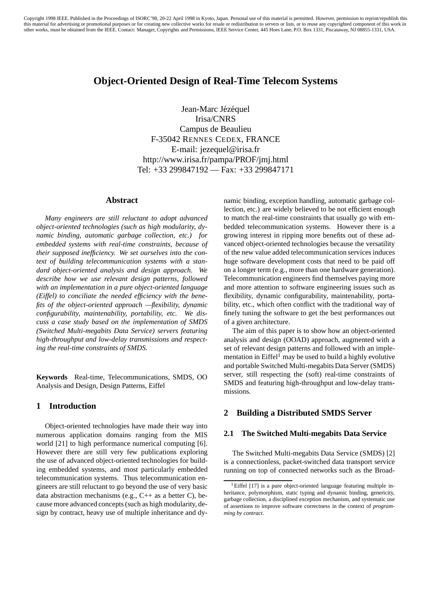# **Object-Oriented Design of Real-Time Telecom Systems**

Jean-Marc Jézéquel Irisa/CNRS Campus de Beaulieu F-35042 RENNES CEDEX, FRANCE E-mail: jezequel@irisa.fr http://www.irisa.fr/pampa/PROF/jmj.html Tel: +33 299847192 — Fax: +33 299847171

# **Abstract**

*Many engineers are still reluctant to adopt advanced object-oriented technologies (such as high modularity, dynamic binding, automatic garbage collection, etc.) for embedded systems with real-time constraints, because of their supposed inefficiency. We set ourselves into the context of building telecommunication systems with a standard object-oriented analysis and design approach. We describe how we use relevant design patterns, followed with an implementation in a pure object-oriented language (Eiffel) to conciliate the needed efficiency with the benefits of the object-oriented approach —flexibility, dynamic configurability, maintenability, portability, etc. We discuss a case study based on the implementation of SMDS (Switched Multi-megabits Data Service) servers featuring high-throughput and low-delay transmissions and respecting the real-time constraints of SMDS.*

**Keywords** Real-time, Telecommunications, SMDS, OO Analysis and Design, Design Patterns, Eiffel

# **1 Introduction**

Object-oriented technologies have made their way into numerous application domains ranging from the MIS world [21] to high performance numerical computing [6]. However there are still very few publications exploring the use of advanced object-oriented technologies for building embedded systems, and most particularly embedded telecommunication systems. Thus telecommunication engineers are still reluctant to go beyond the use of very basic data abstraction mechanisms (e.g.,  $C_{++}$  as a better C), because more advanced concepts (such as high modularity, design by contract, heavy use of multiple inheritance and dynamic binding, exception handling, automatic garbage collection, etc.) are widely believed to be not efficient enough to match the real-time constraints that usually go with embedded telecommunication systems. However there is a growing interest in ripping more benefits out of these advanced object-oriented technologies because the versatility of the new value added telecommunication services induces huge software development costs that need to be paid off on a longer term (e.g., more than one hardware generation). Telecommunication engineers find themselves paying more and more attention to software engineering issues such as flexibility, dynamic configurability, maintenability, portability, etc., which often conflict with the traditional way of finely tuning the software to get the best performances out of a given architecture.

The aim of this paper is to show how an object-oriented analysis and design (OOAD) approach, augmented with a set of relevant design patterns and followed with an implementation in  $Eiffel<sup>1</sup>$  may be used to build a highly evolutive and portable Switched Multi-megabits Data Server (SMDS) server, still respecting the (soft) real-time constraints of SMDS and featuring high-throughput and low-delay transmissions.

# **2 Building a Distributed SMDS Server**

#### **2.1 The Switched Multi-megabits Data Service**

The Switched Multi-megabits Data Service (SMDS) [2] is a connectionless, packet-switched data transport service running on top of connected networks such as the Broad-

<sup>&</sup>lt;sup>1</sup>Eiffel [17] is a pure object-oriented language featuring multiple inheritance, polymorphism, static typing and dynamic binding, genericity, garbage collection, a disciplined exception mechanism, and systematic use of assertions to improve software correctness in the context of *programming by contract*.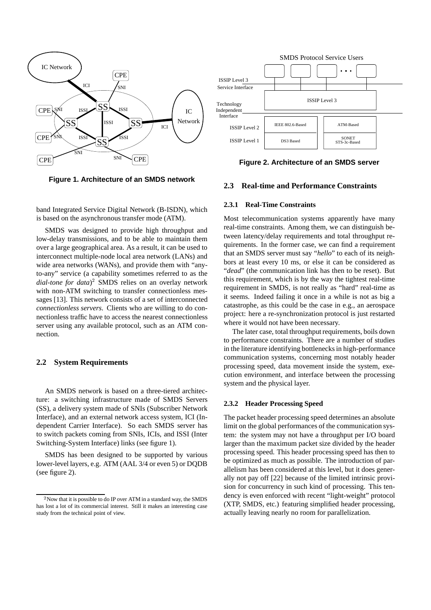

**Figure 1. Architecture of an SMDS network**

band Integrated Service Digital Network (B-ISDN), which is based on the asynchronous transfer mode (ATM).

SMDS was designed to provide high throughput and low-delay transmissions, and to be able to maintain them over a large geographical area. As a result, it can be used to interconnect multiple-node local area network (LANs) and wide area networks (WANs), and provide them with "anyto-any" service (a capability sometimes referred to as the *dial-tone for data*)<sup>2</sup> SMDS relies on an overlay network with non-ATM switching to transfer connectionless messages [13]. This network consists of a set of interconnected *connectionless servers*. Clients who are willing to do connectionless traffic have to access the nearest connectionless server using any available protocol, such as an ATM connection.

# **2.2 System Requirements**

An SMDS network is based on a three-tiered architecture: a switching infrastructure made of SMDS Servers (SS), a delivery system made of SNIs (Subscriber Network Interface), and an external network access system, ICI (Independent Carrier Interface). So each SMDS server has to switch packets coming from SNIs, ICIs, and ISSI (Inter Switching-System Interface) links (see figure 1).

SMDS has been designed to be supported by various lower-level layers, e.g. ATM (AAL 3/4 or even 5) or DQDB (see figure 2).



## **Figure 2. Architecture of an SMDS server**

## **2.3 Real-time and Performance Constraints**

#### **2.3.1 Real-Time Constraints**

Most telecommunication systems apparently have many real-time constraints. Among them, we can distinguish between latency/delay requirements and total throughput requirements. In the former case, we can find a requirement that an SMDS server must say "*hello*" to each of its neighbors at least every 10 ms, or else it can be considered as "*dead*" (the communication link has then to be reset). But this requirement, which is by the way the tightest real-time requirement in SMDS, is not really as "hard" real-time as it seems. Indeed failing it once in a while is not as big a catastrophe, as this could be the case in e.g., an aerospace project: here a re-synchronization protocol is just restarted where it would not have been necessary.

The later case, total throughput requirements, boils down to performance constraints. There are a number of studies in the literature identifying bottlenecks in high-performance communication systems, concerning most notably header processing speed, data movement inside the system, execution environment, and interface between the processing system and the physical layer.

#### **2.3.2 Header Processing Speed**

The packet header processing speed determines an absolute limit on the global performances of the communication system: the system may not have a throughput per I/O board larger than the maximum packet size divided by the header processing speed. This header processing speed has then to be optimized as much as possible. The introduction of parallelism has been considered at this level, but it does generally not pay off [22] because of the limited intrinsic provision for concurrency in such kind of processing. This tendency is even enforced with recent "light-weight" protocol (XTP, SMDS, etc.) featuring simplified header processing, actually leaving nearly no room for parallelization.

<sup>&</sup>lt;sup>2</sup>Now that it is possible to do IP over ATM in a standard way, the SMDS has lost a lot of its commercial interest. Still it makes an interesting case study from the technical point of view.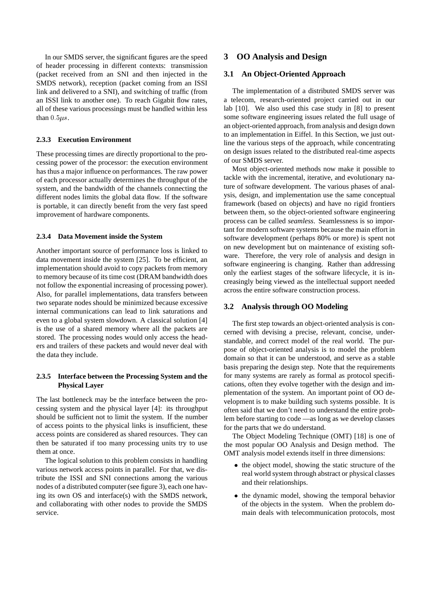In our SMDS server, the significant figures are the speed of header processing in different contexts: transmission (packet received from an SNI and then injected in the SMDS network), reception (packet coming from an ISSI link and delivered to a SNI), and switching of traffic (from an ISSI link to another one). To reach Gigabit flow rates, all of these various processings must be handled within less than  $0.5 \mu s$ .

#### **2.3.3 Execution Environment**

These processing times are directly proportional to the processing power of the processor: the execution environment has thus a major influence on performances. The raw power of each processor actually determines the throughput of the system, and the bandwidth of the channels connecting the different nodes limits the global data flow. If the software is portable, it can directly benefit from the very fast speed improvement of hardware components.

#### **2.3.4 Data Movement inside the System**

Another important source of performance loss is linked to data movement inside the system [25]. To be efficient, an implementation should avoid to copy packets from memory to memory because of its time cost (DRAM bandwidth does not follow the exponential increasing of processing power). Also, for parallel implementations, data transfers between two separate nodes should be minimized because excessive internal communications can lead to link saturations and even to a global system slowdown. A classical solution [4] is the use of a shared memory where all the packets are stored. The processing nodes would only access the headers and trailers of these packets and would never deal with the data they include.

# **2.3.5 Interface between the Processing System and the Physical Layer**

The last bottleneck may be the interface between the processing system and the physical layer [4]: its throughput should be sufficient not to limit the system. If the number of access points to the physical links is insufficient, these access points are considered as shared resources. They can then be saturated if too many processing units try to use them at once.

The logical solution to this problem consists in handling various network access points in parallel. For that, we distribute the ISSI and SNI connections among the various nodes of a distributed computer (see figure 3), each one having its own OS and interface(s) with the SMDS network, and collaborating with other nodes to provide the SMDS service.

# **3 OO Analysis and Design**

# **3.1 An Object-Oriented Approach**

The implementation of a distributed SMDS server was a telecom, research-oriented project carried out in our lab [10]. We also used this case study in [8] to present some software engineering issues related the full usage of an object-oriented approach, from analysis and design down to an implementation in Eiffel. In this Section, we just outline the various steps of the approach, while concentrating on design issues related to the distributed real-time aspects of our SMDS server.

Most object-oriented methods now make it possible to tackle with the incremental, iterative, and evolutionary nature of software development. The various phases of analysis, design, and implementation use the same conceptual framework (based on objects) and have no rigid frontiers between them, so the object-oriented software engineering process can be called *seamless*. Seamlessness is so important for modern software systems because the main effort in software development (perhaps 80% or more) is spent not on new development but on maintenance of existing software. Therefore, the very role of analysis and design in software engineering is changing. Rather than addressing only the earliest stages of the software lifecycle, it is increasingly being viewed as the intellectual support needed across the entire software construction process.

#### **3.2 Analysis through OO Modeling**

The first step towards an object-oriented analysis is concerned with devising a precise, relevant, concise, understandable, and correct model of the real world. The purpose of object-oriented analysis is to model the problem domain so that it can be understood, and serve as a stable basis preparing the design step. Note that the requirements for many systems are rarely as formal as protocol specifications, often they evolve together with the design and implementation of the system. An important point of OO development is to make building such systems possible. It is often said that we don't need to understand the entire problem before starting to code —as long as we develop classes for the parts that we do understand.

The Object Modeling Technique (OMT) [18] is one of the most popular OO Analysis and Design method. The OMT analysis model extends itself in three dimensions:

- the object model, showing the static structure of the real world system through abstract or physical classes and their relationships.
- the dynamic model, showing the temporal behavior of the objects in the system. When the problem domain deals with telecommunication protocols, most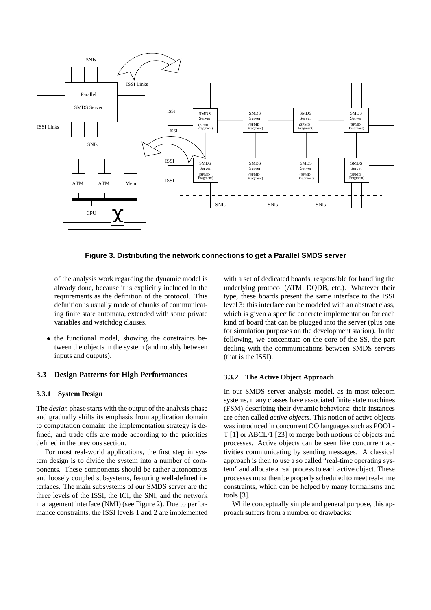

**Figure 3. Distributing the network connections to get a Parallel SMDS server**

of the analysis work regarding the dynamic model is already done, because it is explicitly included in the requirements as the definition of the protocol. This definition is usually made of chunks of communicating finite state automata, extended with some private variables and watchdog clauses.

• the functional model, showing the constraints between the objects in the system (and notably between inputs and outputs).

#### **3.3 Design Patterns for High Performances**

#### **3.3.1 System Design**

The *design* phase starts with the output of the analysis phase and gradually shifts its emphasis from application domain to computation domain: the implementation strategy is defined, and trade offs are made according to the priorities defined in the previous section.

For most real-world applications, the first step in system design is to divide the system into a number of components. These components should be rather autonomous and loosely coupled subsystems, featuring well-defined interfaces. The main subsystems of our SMDS server are the three levels of the ISSI, the ICI, the SNI, and the network management interface (NMI) (see Figure 2). Due to performance constraints, the ISSI levels 1 and 2 are implemented with a set of dedicated boards, responsible for handling the underlying protocol (ATM, DQDB, etc.). Whatever their type, these boards present the same interface to the ISSI level 3: this interface can be modeled with an abstract class, which is given a specific concrete implementation for each kind of board that can be plugged into the server (plus one for simulation purposes on the development station). In the following, we concentrate on the core of the SS, the part dealing with the communications between SMDS servers (that is the ISSI).

#### **3.3.2 The Active Object Approach**

In our SMDS server analysis model, as in most telecom systems, many classes have associated finite state machines (FSM) describing their dynamic behaviors: their instances are often called *active objects*. This notion of active objects was introduced in concurrent OO languages such as POOL-T [1] or ABCL/1 [23] to merge both notions of objects and processes. Active objects can be seen like concurrent activities communicating by sending messages. A classical approach is then to use a so called "real-time operating system" and allocate a real process to each active object. These processes must then be properly scheduled to meet real-time constraints, which can be helped by many formalisms and tools [3].

While conceptually simple and general purpose, this approach suffers from a number of drawbacks: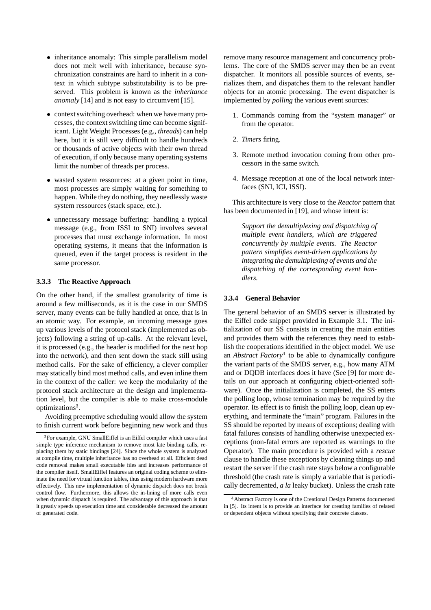- inheritance anomaly: This simple parallelism model does not melt well with inheritance, because synchronization constraints are hard to inherit in a context in which subtype substitutability is to be preserved. This problem is known as the *inheritance anomaly* [14] and is not easy to circumvent [15].
- context switching overhead: when we have many processes, the context switching time can become significant. Light Weight Processes (e.g., *threads*) can help here, but it is still very difficult to handle hundreds or thousands of active objects with their own thread of execution, if only because many operating systems limit the number of threads per process.
- wasted system ressources: at a given point in time, most processes are simply waiting for something to happen. While they do nothing, they needlessly waste system ressources (stack space, etc.).
- unnecessary message buffering: handling a typical message (e.g., from ISSI to SNI) involves several processes that must exchange information. In most operating systems, it means that the information is queued, even if the target process is resident in the same processor.

#### **3.3.3 The Reactive Approach**

On the other hand, if the smallest granularity of time is around a few milliseconds, as it is the case in our SMDS server, many events can be fully handled at once, that is in an atomic way. For example, an incoming message goes up various levels of the protocol stack (implemented as objects) following a string of up-calls. At the relevant level, it is processed (e.g., the header is modified for the next hop into the network), and then sent down the stack still using method calls. For the sake of efficiency, a clever compiler may statically bind most method calls, and even inline them in the context of the caller: we keep the modularity of the protocol stack architecture at the design and implementation level, but the compiler is able to make cross-module optimizations<sup>3</sup>.

Avoiding preemptive scheduling would allow the system to finish current work before beginning new work and thus remove many resource management and concurrency problems. The core of the SMDS server may then be an event dispatcher. It monitors all possible sources of events, serializes them, and dispatches them to the relevant handler objects for an atomic processing. The event dispatcher is implemented by *polling* the various event sources:

- 1. Commands coming from the "system manager" or from the operator.
- 2. *Timers* firing.
- 3. Remote method invocation coming from other processors in the same switch.
- 4. Message reception at one of the local network interfaces (SNI, ICI, ISSI).

This architecture is very close to the *Reactor* pattern that has been documented in [19], and whose intent is:

> *Support the demultiplexing and dispatching of multiple event handlers, which are triggered concurrently by multiple events. The Reactor pattern simplifies event-driven applications by integrating the demultiplexing of events and the dispatching of the corresponding event handlers.*

#### **3.3.4 General Behavior**

The general behavior of an SMDS server is illustrated by the Eiffel code snippet provided in Example 3.1. The initialization of our SS consists in creating the main entities and provides them with the references they need to establish the cooperations identified in the object model. We use an *Abstract Factory*<sup>4</sup> to be able to dynamically configure the variant parts of the SMDS server, e.g., how many ATM and or DQDB interfaces does it have (See [9] for more details on our approach at configuring object-oriented software). Once the initialization is completed, the SS enters the polling loop, whose termination may be required by the operator. Its effect is to finish the polling loop, clean up everything, and terminate the "main" program. Failures in the SS should be reported by means of exceptions; dealing with fatal failures consists of handling otherwise unexpected exceptions (non-fatal errors are reported as warnings to the Operator). The main procedure is provided with a *rescue* clause to handle these exceptions by cleaning things up and restart the server if the crash rate stays below a configurable threshold (the crash rate is simply a variable that is periodically decremented, *a la* leaky bucket). Unless the crash rate

<sup>&</sup>lt;sup>3</sup> For example, GNU SmallEiffel is an Eiffel compiler which uses a fast simple type inference mechanism to remove most late binding calls, replacing them by static bindings [24]. Since the whole system is analyzed at compile time, multiple inheritance has no overhead at all. Efficient dead code removal makes small executable files and increases performance of the compiler itself. SmallEiffel features an original coding scheme to eliminate the need for virtual function tables, thus using modern hardware more effectively. This new implementation of dynamic dispatch does not break control flow. Furthermore, this allows the in-lining of more calls even when dynamic dispatch is required. The advantage of this approach is that it greatly speeds up execution time and considerable decreased the amount of generated code.

<sup>&</sup>lt;sup>4</sup> Abstract Factory is one of the Creational Design Patterns documented in [5]. Its intent is to provide an interface for creating families of related or dependent objects without specifying their concrete classes.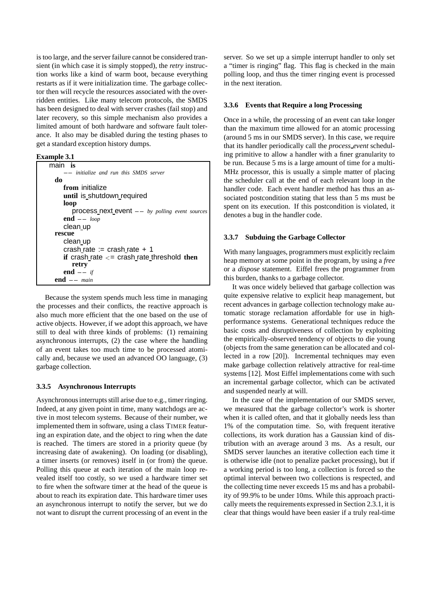is too large, and the server failure cannot be considered transient (in which case it is simply stopped), the *retry* instruction works like a kind of warm boot, because everything restarts as if it were initialization time. The garbage collector then will recycle the resources associated with the overridden entities. Like many telecom protocols, the SMDS has been designed to deal with server crashes (fail stop) and later recovery, so this simple mechanism also provides a limited amount of both hardware and software fault tolerance. It also may be disabled during the testing phases to get a standard exception history dumps.

**Example 3.1**

| main is                                          |
|--------------------------------------------------|
| -- initialize and run this SMDS server           |
| do                                               |
| from initialize                                  |
| until is shutdown required                       |
| loop                                             |
| process next event $--$ by polling event sources |
| <b>end</b> $--$ <i>loop</i>                      |
| clean up                                         |
| rescue                                           |
| clean up                                         |
| crash rate := crash rate + 1                     |
| if crash rate $\leq$ crash rate threshold then   |
| retry                                            |
| <b>end</b> $--$ if                               |
| $end$ -- main                                    |

Because the system spends much less time in managing the processes and their conflicts, the reactive approach is also much more efficient that the one based on the use of active objects. However, if we adopt this approach, we have still to deal with three kinds of problems: (1) remaining asynchronous interrupts, (2) the case where the handling of an event takes too much time to be processed atomically and, because we used an advanced OO language, (3) garbage collection.

#### **3.3.5 Asynchronous Interrupts**

Asynchronous interrupts still arise due to e.g., timer ringing. Indeed, at any given point in time, many watchdogs are active in most telecom systems. Because of their number, we implemented them in software, using a class TIMER featuring an expiration date, and the object to ring when the date is reached. The timers are stored in a priority queue (by increasing date of awakening). On loading (or disabling), a timer inserts (or removes) itself in (or from) the queue. Polling this queue at each iteration of the main loop revealed itself too costly, so we used a hardware timer set to fire when the software timer at the head of the queue is about to reach its expiration date. This hardware timer uses an asynchronous interrupt to notify the server, but we do not want to disrupt the current processing of an event in the server. So we set up a simple interrupt handler to only set a "timer is ringing" flag. This flag is checked in the main polling loop, and thus the timer ringing event is processed in the next iteration.

#### **3.3.6 Events that Require a long Processing**

Once in a while, the processing of an event can take longer than the maximum time allowed for an atomic processing (around 5 ms in our SMDS server). In this case, we require that its handler periodically call the *process event* scheduling primitive to allow a handler with a finer granularity to be run. Because 5 ms is a large amount of time for a multi-MHz processor, this is usually a simple matter of placing the scheduler call at the end of each relevant loop in the handler code. Each event handler method has thus an associated postcondition stating that less than 5 ms must be spent on its execution. If this postcondition is violated, it denotes a bug in the handler code.

#### **3.3.7 Subduing the Garbage Collector**

With many languages, programmers must explicitly reclaim heap memory at some point in the program, by using a *free* or a *dispose* statement. Eiffel frees the programmer from this burden, thanks to a garbage collector.

It was once widely believed that garbage collection was quite expensive relative to explicit heap management, but recent advances in garbage collection technology make automatic storage reclamation affordable for use in highperformance systems. Generational techniques reduce the basic costs and disruptiveness of collection by exploiting the empirically-observed tendency of objects to die young (objects from the same generation can be allocated and collected in a row [20]). Incremental techniques may even make garbage collection relatively attractive for real-time systems [12]. Most Eiffel implementations come with such an incremental garbage collector, which can be activated and suspended nearly at will.

In the case of the implementation of our SMDS server, we measured that the garbage collector's work is shorter when it is called often, and that it globally needs less than 1% of the computation time. So, with frequent iterative collections, its work duration has a Gaussian kind of distribution with an average around 3 ms. As a result, our SMDS server launches an iterative collection each time it is otherwise idle (not to penalize packet processing), but if a working period is too long, a collection is forced so the optimal interval between two collections is respected, and the collecting time never exceeds 15 ms and has a probability of 99.9% to be under 10ms. While this approach practically meets the requirements expressed in Section 2.3.1, it is clear that things would have been easier if a truly real-time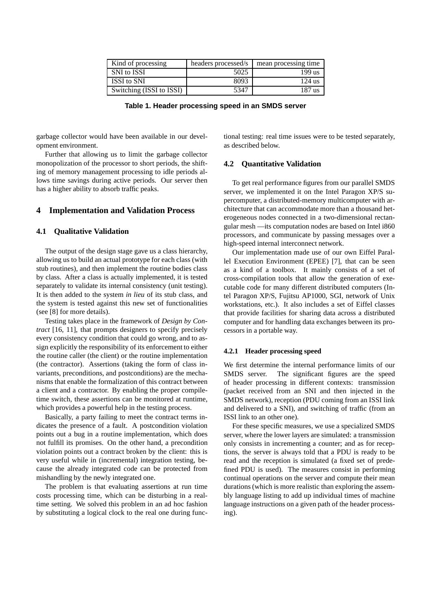| Kind of processing       | headers processed/s | mean processing time |
|--------------------------|---------------------|----------------------|
| SNI to ISSI              | 5025                | $199$ us             |
| ISSI to SNI              | 8093                | $124$ us             |
| Switching (ISSI to ISSI) | 5347                | 187 us               |

**Table 1. Header processing speed in an SMDS server**

garbage collector would have been available in our development environment.

Further that allowing us to limit the garbage collector monopolization of the processor to short periods, the shifting of memory management processing to idle periods allows time savings during active periods. Our server then has a higher ability to absorb traffic peaks.

# **4 Implementation and Validation Process**

#### **4.1 Qualitative Validation**

The output of the design stage gave us a class hierarchy, allowing us to build an actual prototype for each class (with stub routines), and then implement the routine bodies class by class. After a class is actually implemented, it is tested separately to validate its internal consistency (unit testing). It is then added to the system *in lieu* of its stub class, and the system is tested against this new set of functionalities (see [8] for more details).

Testing takes place in the framework of *Design by Contract* [16, 11], that prompts designers to specify precisely every consistency condition that could go wrong, and to assign explicitly the responsibility of its enforcement to either the routine caller (the client) or the routine implementation (the contractor). Assertions (taking the form of class invariants, preconditions, and postconditions) are the mechanisms that enable the formalization of this contract between a client and a contractor. By enabling the proper compiletime switch, these assertions can be monitored at runtime, which provides a powerful help in the testing process.

Basically, a party failing to meet the contract terms indicates the presence of a fault. A postcondition violation points out a bug in a routine implementation, which does not fulfill its promises. On the other hand, a precondition violation points out a contract broken by the client: this is very useful while in (incremental) integration testing, because the already integrated code can be protected from mishandling by the newly integrated one.

The problem is that evaluating assertions at run time costs processing time, which can be disturbing in a realtime setting. We solved this problem in an ad hoc fashion by substituting a logical clock to the real one during functional testing: real time issues were to be tested separately, as described below.

## **4.2 Quantitative Validation**

To get real performance figures from our parallel SMDS server, we implemented it on the Intel Paragon XP/S supercomputer, a distributed-memory multicomputer with architecture that can accommodate more than a thousand heterogeneous nodes connected in a two-dimensional rectangular mesh —its computation nodes are based on Intel i860 processors, and communicate by passing messages over a high-speed internal interconnect network.

Our implementation made use of our own Eiffel Parallel Execution Environment (EPEE) [7], that can be seen as a kind of a toolbox. It mainly consists of a set of cross-compilation tools that allow the generation of executable code for many different distributed computers (Intel Paragon XP/S, Fujitsu AP1000, SGI, network of Unix workstations, etc.). It also includes a set of Eiffel classes that provide facilities for sharing data across a distributed computer and for handling data exchanges between its processors in a portable way.

#### **4.2.1 Header processing speed**

We first determine the internal performance limits of our SMDS server. The significant figures are the speed of header processing in different contexts: transmission (packet received from an SNI and then injected in the SMDS network), reception (PDU coming from an ISSI link and delivered to a SNI), and switching of traffic (from an ISSI link to an other one).

For these specific measures, we use a specialized SMDS server, where the lower layers are simulated: a transmission only consists in incrementing a counter; and as for receptions, the server is always told that a PDU is ready to be read and the reception is simulated (a fixed set of predefined PDU is used). The measures consist in performing continual operations on the server and compute their mean durations (which is more realistic than exploring the assembly language listing to add up individual times of machine language instructions on a given path of the header processing).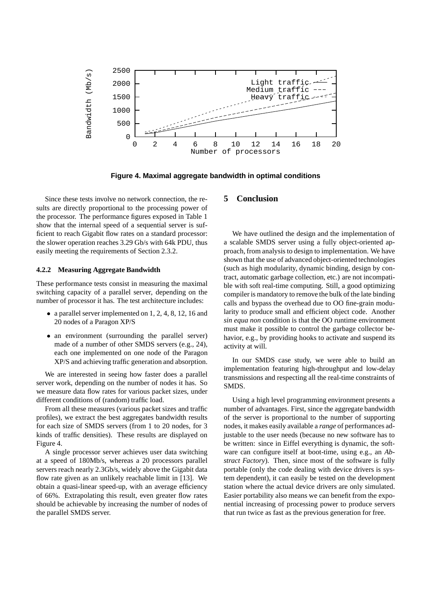

**Figure 4. Maximal aggregate bandwidth in optimal conditions**

Since these tests involve no network connection, the results are directly proportional to the processing power of the processor. The performance figures exposed in Table 1 show that the internal speed of a sequential server is sufficient to reach Gigabit flow rates on a standard processor: the slower operation reaches 3.29 Gb/s with 64k PDU, thus easily meeting the requirements of Section 2.3.2.

#### **4.2.2 Measuring Aggregate Bandwidth**

These performance tests consist in measuring the maximal switching capacity of a parallel server, depending on the number of processor it has. The test architecture includes:

- a parallel server implemented on 1, 2, 4, 8, 12, 16 and 20 nodes of a Paragon XP/S
- an environment (surrounding the parallel server) made of a number of other SMDS servers (e.g., 24), each one implemented on one node of the Paragon XP/S and achieving traffic generation and absorption.

We are interested in seeing how faster does a parallel server work, depending on the number of nodes it has. So we measure data flow rates for various packet sizes, under different conditions of (random) traffic load.

From all these measures (various packet sizes and traffic profiles), we extract the best aggregates bandwidth results for each size of SMDS servers (from 1 to 20 nodes, for 3 kinds of traffic densities). These results are displayed on Figure 4.

A single processor server achieves user data switching at a speed of 180Mb/s, whereas a 20 processors parallel servers reach nearly 2.3Gb/s, widely above the Gigabit data flow rate given as an unlikely reachable limit in [13]. We obtain a quasi-linear speed-up, with an average efficiency of 66%. Extrapolating this result, even greater flow rates should be achievable by increasing the number of nodes of the parallel SMDS server.

# **5 Conclusion**

We have outlined the design and the implementation of a scalable SMDS server using a fully object-oriented approach, from analysis to design to implementation. We have shown that the use of advanced object-oriented technologies (such as high modularity, dynamic binding, design by contract, automatic garbage collection, etc.) are not incompatible with soft real-time computing. Still, a good optimizing compiler is mandatory to remove the bulk of the late binding calls and bypass the overhead due to OO fine-grain modularity to produce small and efficient object code. Another *sin equa non* condition is that the OO runtime environment must make it possible to control the garbage collector behavior, e.g., by providing hooks to activate and suspend its activity at will.

In our SMDS case study, we were able to build an implementation featuring high-throughput and low-delay transmissions and respecting all the real-time constraints of SMDS.

Using a high level programming environment presents a number of advantages. First, since the aggregate bandwidth of the server is proportional to the number of supporting nodes, it makes easily available a *range* of performances adjustable to the user needs (because no new software has to be written: since in Eiffel everything is dynamic, the software can configure itself at boot-time, using e.g., an *Abstract Factory*). Then, since most of the software is fully portable (only the code dealing with device drivers is system dependent), it can easily be tested on the development station where the actual device drivers are only simulated. Easier portability also means we can benefit from the exponential increasing of processing power to produce servers that run twice as fast as the previous generation for free.